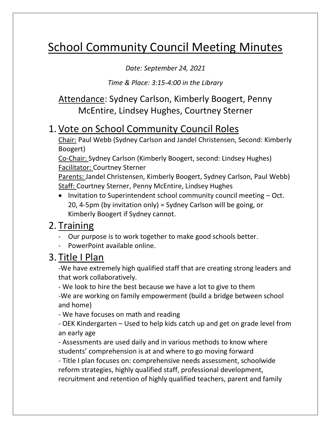# School Community Council Meeting Minutes

*Date: September 24, 2021* 

*Time & Place: 3:15-4:00 in the Library* 

#### Attendance: Sydney Carlson, Kimberly Boogert, Penny McEntire, Lindsey Hughes, Courtney Sterner

### 1.Vote on School Community Council Roles

Chair: Paul Webb (Sydney Carlson and Jandel Christensen, Second: Kimberly Boogert)

Co-Chair: Sydney Carlson (Kimberly Boogert, second: Lindsey Hughes) Facilitator: Courtney Sterner

Parents: Jandel Christensen, Kimberly Boogert, Sydney Carlson, Paul Webb) **Staff: Courtney Sterner, Penny McEntire, Lindsey Hughes** 

• Invitation to Superintendent school community council meeting – Oct. 20, 4-5pm (by invitation only) = Sydney Carlson will be going, or Kimberly Boogert if Sydney cannot.

### 2. Training

- Our purpose is to work together to make good schools better.
- PowerPoint available online.

### 3. Title I Plan

-We have extremely high qualified staff that are creating strong leaders and that work collaboratively.

- We look to hire the best because we have a lot to give to them -We are working on family empowerment (build a bridge between school and home)

- We have focuses on math and reading

- OEK Kindergarten – Used to help kids catch up and get on grade level from an early age

- Assessments are used daily and in various methods to know where students' comprehension is at and where to go moving forward

- Title I plan focuses on: comprehensive needs assessment, schoolwide reform strategies, highly qualified staff, professional development, recruitment and retention of highly qualified teachers, parent and family